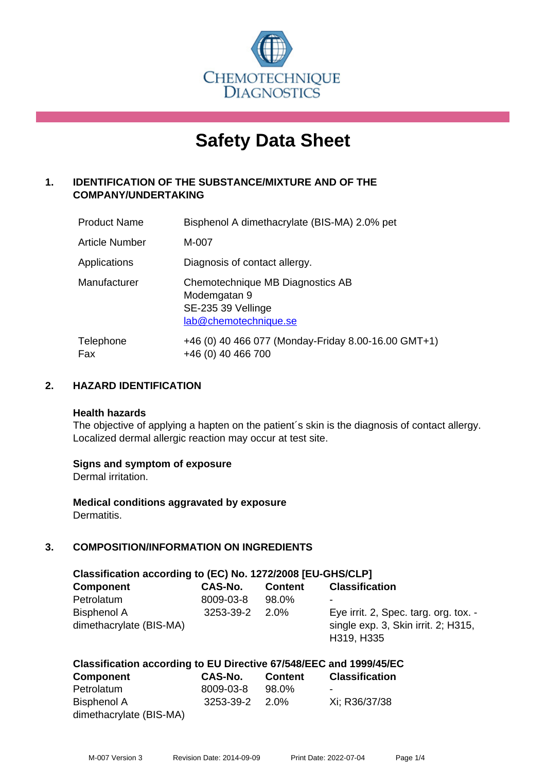

# **Safety Data Sheet**

# **1. IDENTIFICATION OF THE SUBSTANCE/MIXTURE AND OF THE COMPANY/UNDERTAKING**

| <b>Product Name</b> | Bisphenol A dimethacrylate (BIS-MA) 2.0% pet                                                    |
|---------------------|-------------------------------------------------------------------------------------------------|
| Article Number      | M-007                                                                                           |
| Applications        | Diagnosis of contact allergy.                                                                   |
| Manufacturer        | Chemotechnique MB Diagnostics AB<br>Modemgatan 9<br>SE-235 39 Vellinge<br>lab@chemotechnique.se |
| Telephone<br>Fax    | +46 (0) 40 466 077 (Monday-Friday 8.00-16.00 GMT+1)<br>+46 (0) 40 466 700                       |

# **2. HAZARD IDENTIFICATION**

#### **Health hazards**

The objective of applying a hapten on the patient's skin is the diagnosis of contact allergy. Localized dermal allergic reaction may occur at test site.

#### **Signs and symptom of exposure**

Dermal irritation.

**Medical conditions aggravated by exposure** Dermatitis.

# **3. COMPOSITION/INFORMATION ON INGREDIENTS**

| Classification according to (EC) No. 1272/2008 [EU-GHS/CLP] |                |                |                                                                              |  |  |
|-------------------------------------------------------------|----------------|----------------|------------------------------------------------------------------------------|--|--|
| <b>Component</b>                                            | CAS-No.        | <b>Content</b> | <b>Classification</b>                                                        |  |  |
| Petrolatum                                                  | 8009-03-8      | 98.0%          |                                                                              |  |  |
| <b>Bisphenol A</b><br>dimethacrylate (BIS-MA)               | 3253-39-2 2.0% |                | Eye irrit. 2, Spec. targ. org. tox. -<br>single exp. 3, Skin irrit. 2; H315, |  |  |
|                                                             |                |                | H319, H335                                                                   |  |  |

#### **Classification according to EU Directive 67/548/EEC and 1999/45/EC Component CAS-No. Content Classification**

| <b>COMPORTER</b>        | UAJ-IVU.       | <b>CONGIL</b> | <b>UIASSIIIUALIUII</b> |
|-------------------------|----------------|---------------|------------------------|
| Petrolatum              | 8009-03-8      | 98.0%         | -                      |
| Bisphenol A             | 3253-39-2 2.0% |               | Xi: R36/37/38          |
| dimethacrylate (BIS-MA) |                |               |                        |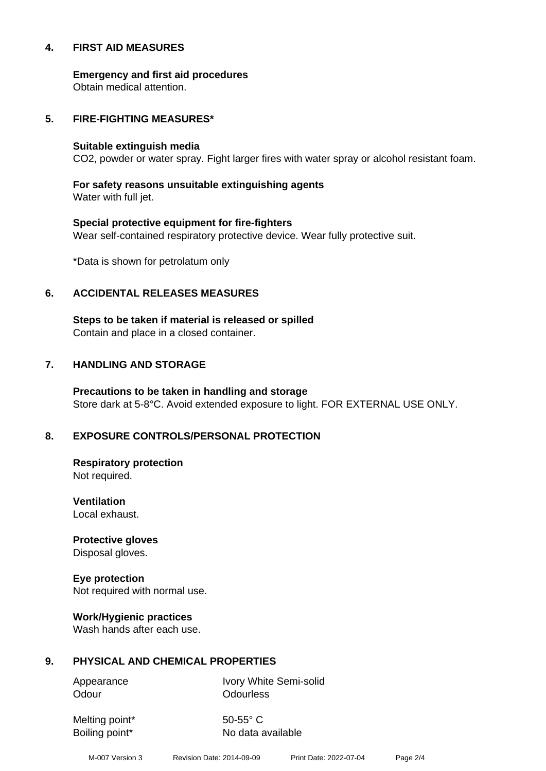#### **4. FIRST AID MEASURES**

**Emergency and first aid procedures**

Obtain medical attention.

#### **5. FIRE-FIGHTING MEASURES\***

#### **Suitable extinguish media**

CO2, powder or water spray. Fight larger fires with water spray or alcohol resistant foam.

# **For safety reasons unsuitable extinguishing agents**

Water with full jet.

# **Special protective equipment for fire-fighters** Wear self-contained respiratory protective device. Wear fully protective suit.

\*Data is shown for petrolatum only

# **6. ACCIDENTAL RELEASES MEASURES**

**Steps to be taken if material is released or spilled** Contain and place in a closed container.

# **7. HANDLING AND STORAGE**

**Precautions to be taken in handling and storage** Store dark at 5-8°C. Avoid extended exposure to light. FOR EXTERNAL USE ONLY.

# **8. EXPOSURE CONTROLS/PERSONAL PROTECTION**

**Respiratory protection** Not required.

**Ventilation** Local exhaust.

**Protective gloves** Disposal gloves.

# **Eye protection**

Not required with normal use.

#### **Work/Hygienic practices**

Wash hands after each use.

#### **9. PHYSICAL AND CHEMICAL PROPERTIES**

Odour **Odourless** 

Appearance Ivory White Semi-solid

Melting point\* 50-55° C

Boiling point\* No data available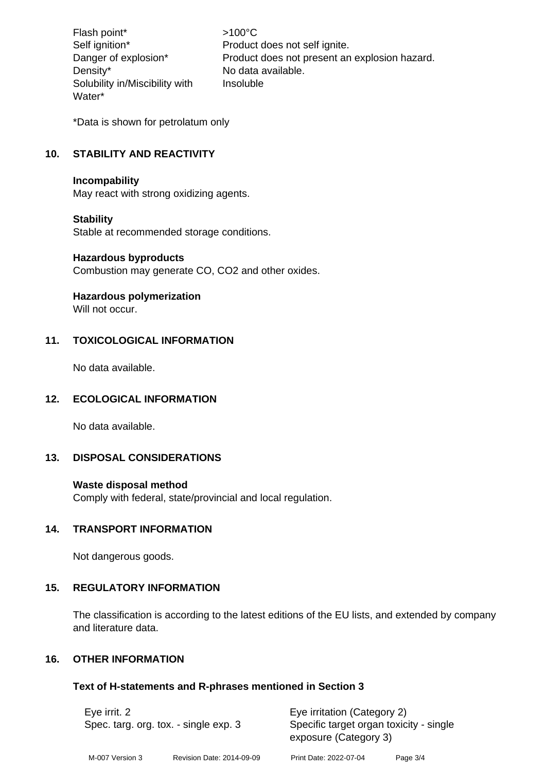Flash point\* >100°C Density\* No data available. Solubility in/Miscibility with Water\*

Self ignition\* Product does not self ignite. Danger of explosion\* Product does not present an explosion hazard. Insoluble

\*Data is shown for petrolatum only

# **10. STABILITY AND REACTIVITY**

#### **Incompability**

May react with strong oxidizing agents.

#### **Stability**

Stable at recommended storage conditions.

#### **Hazardous byproducts**

Combustion may generate CO, CO2 and other oxides.

#### **Hazardous polymerization**

Will not occur

# **11. TOXICOLOGICAL INFORMATION**

No data available.

#### **12. ECOLOGICAL INFORMATION**

No data available.

# **13. DISPOSAL CONSIDERATIONS**

#### **Waste disposal method**

Comply with federal, state/provincial and local regulation.

# **14. TRANSPORT INFORMATION**

Not dangerous goods.

# **15. REGULATORY INFORMATION**

The classification is according to the latest editions of the EU lists, and extended by company and literature data.

# **16. OTHER INFORMATION**

# **Text of H-statements and R-phrases mentioned in Section 3**

| Eye irrit. 2<br>Spec. targ. org. tox. - single exp. 3 |                           | Eye irritation (Category 2)                                      |          |  |
|-------------------------------------------------------|---------------------------|------------------------------------------------------------------|----------|--|
|                                                       |                           | Specific target organ toxicity - single<br>exposure (Category 3) |          |  |
| M-007 Version 3                                       | Revision Date: 2014-09-09 | Print Date: 2022-07-04                                           | Page 3/4 |  |